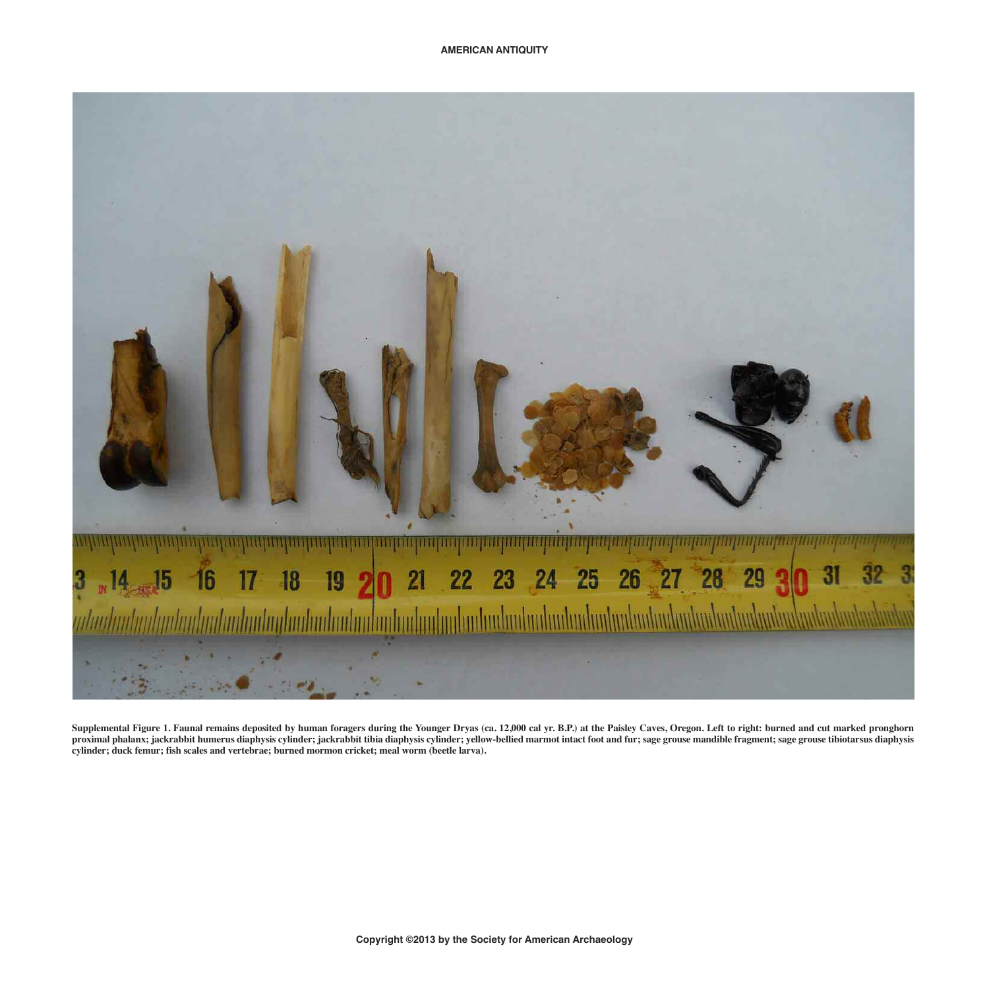

Supplemental Figure 1. Faunal remains deposited by human foragers during the Younger Dryas (ca. 12,000 cal yr. B.P.) at the Paisley Caves, Oregon. Left to right: burned and cut marked pronghorn proximal phalanx; jackrabbit humerus diaphysis cylinder; jackrabbit tibia diaphysis cylinder; yellow-bellied marmot intact foot and fur; sage grouse mandible fragment; sage grouse tibiotarsus diaphysis **cylinder; duck femur; fish scales and vertebrae; burned mormon cricket; meal worm (beetle larva).**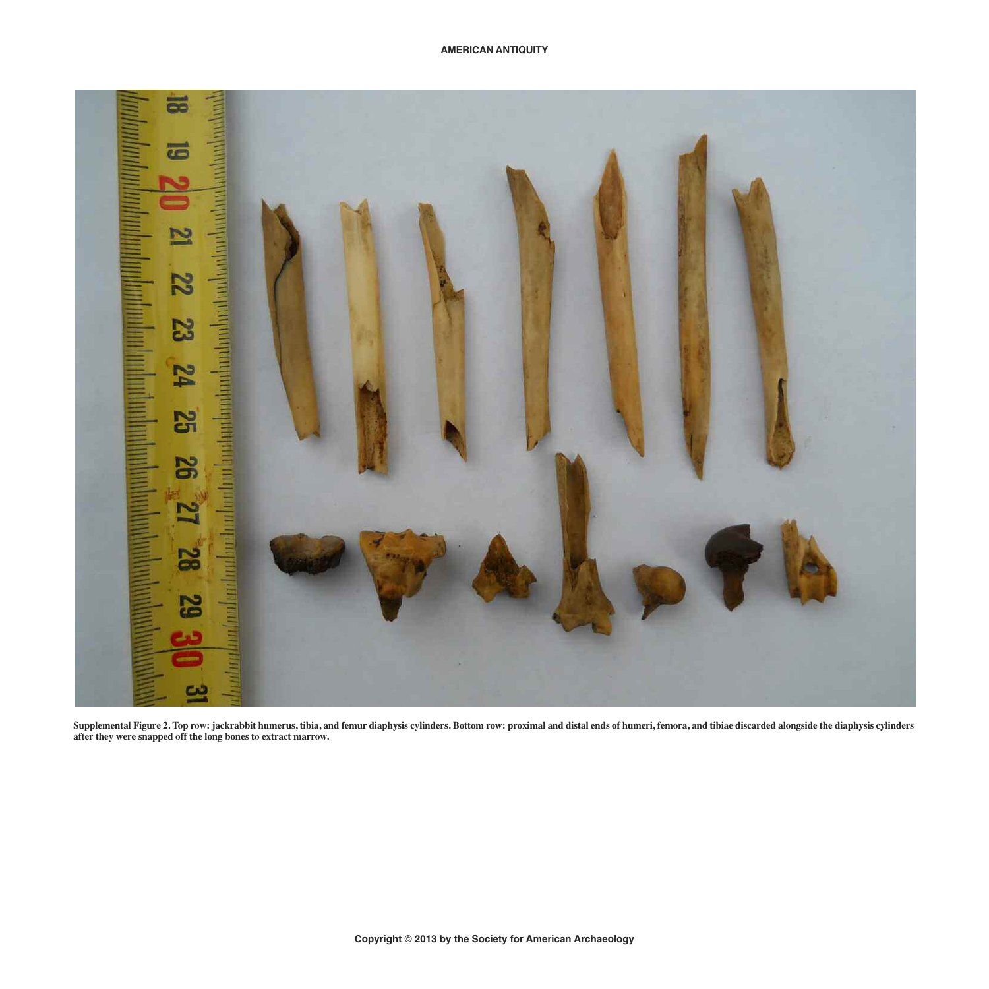

Supplemental Figure 2. Top row: jackrabbit humerus, tibia, and femur diaphysis cylinders. Bottom row: proximal and distal ends of humeri, femora, and tibiae discarded alongside the diaphysis cylinders **after they were snapped off the long bones to extract marrow.**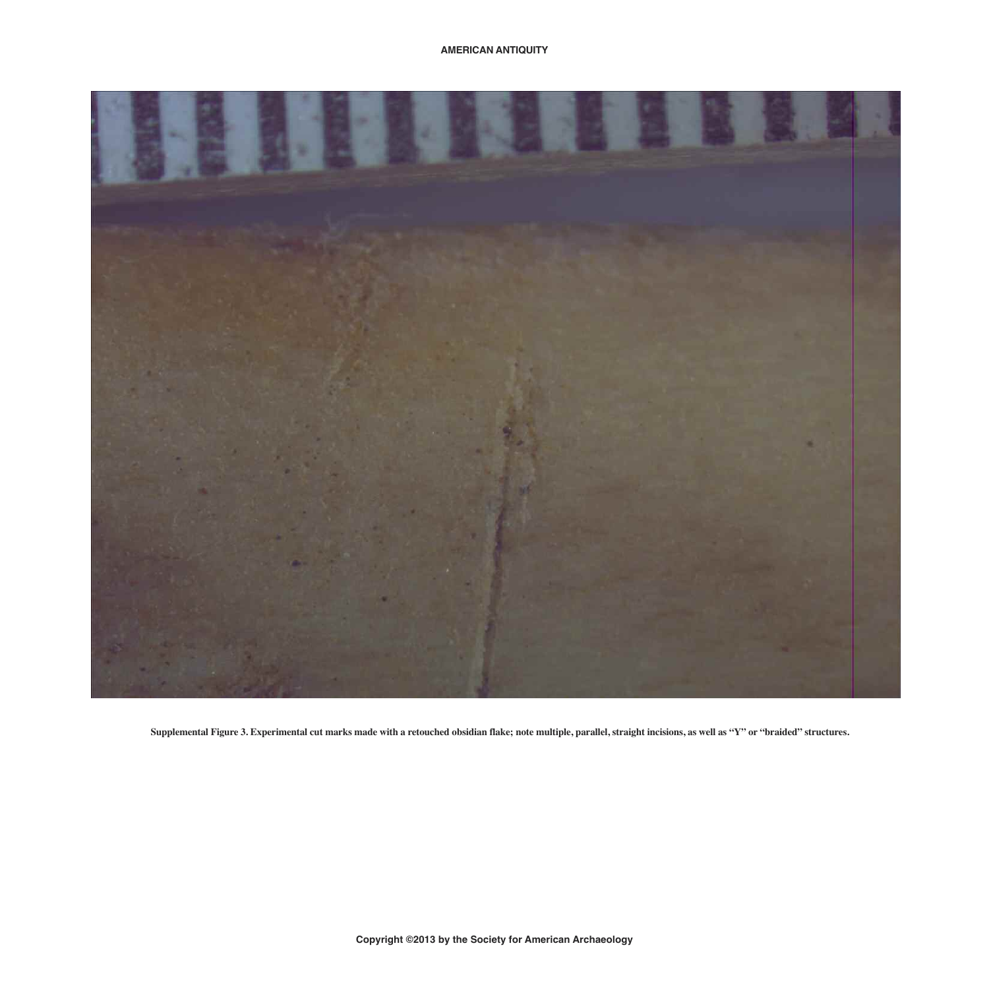

Supplemental Figure 3. Experimental cut marks made with a retouched obsidian flake; note multiple, parallel, straight incisions, as well as "Y" or "braided" structures.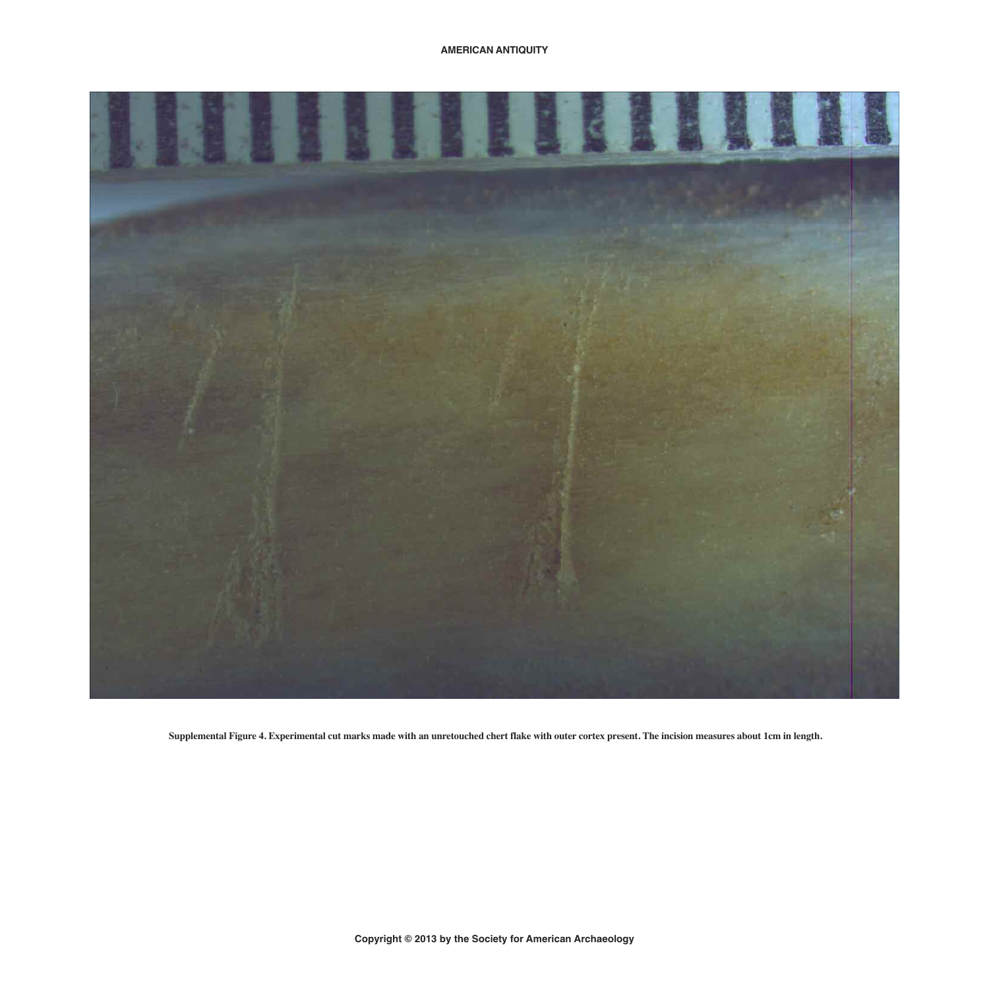

Supplemental Figure 4. Experimental cut marks made with an unretouched chert flake with outer cortex present. The incision measures about 1cm in length.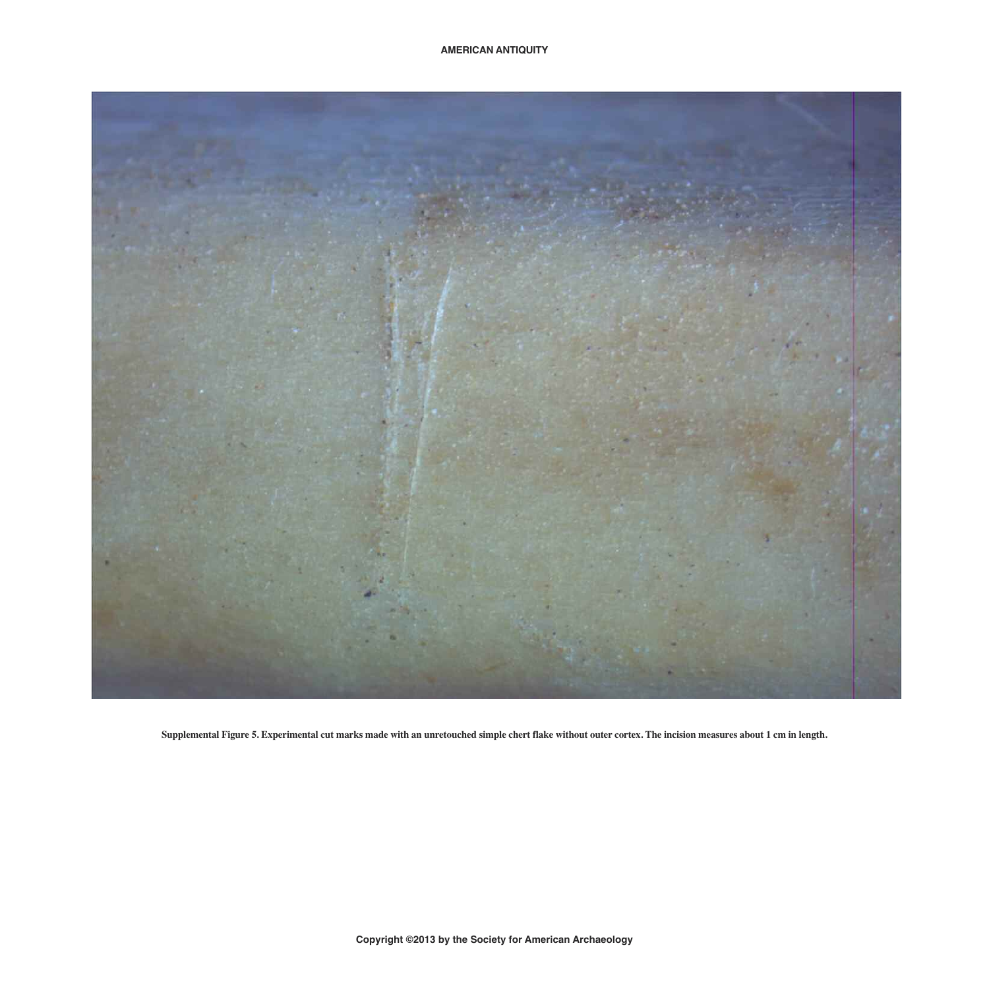

Supplemental Figure 5. Experimental cut marks made with an unretouched simple chert flake without outer cortex. The incision measures about 1 cm in length.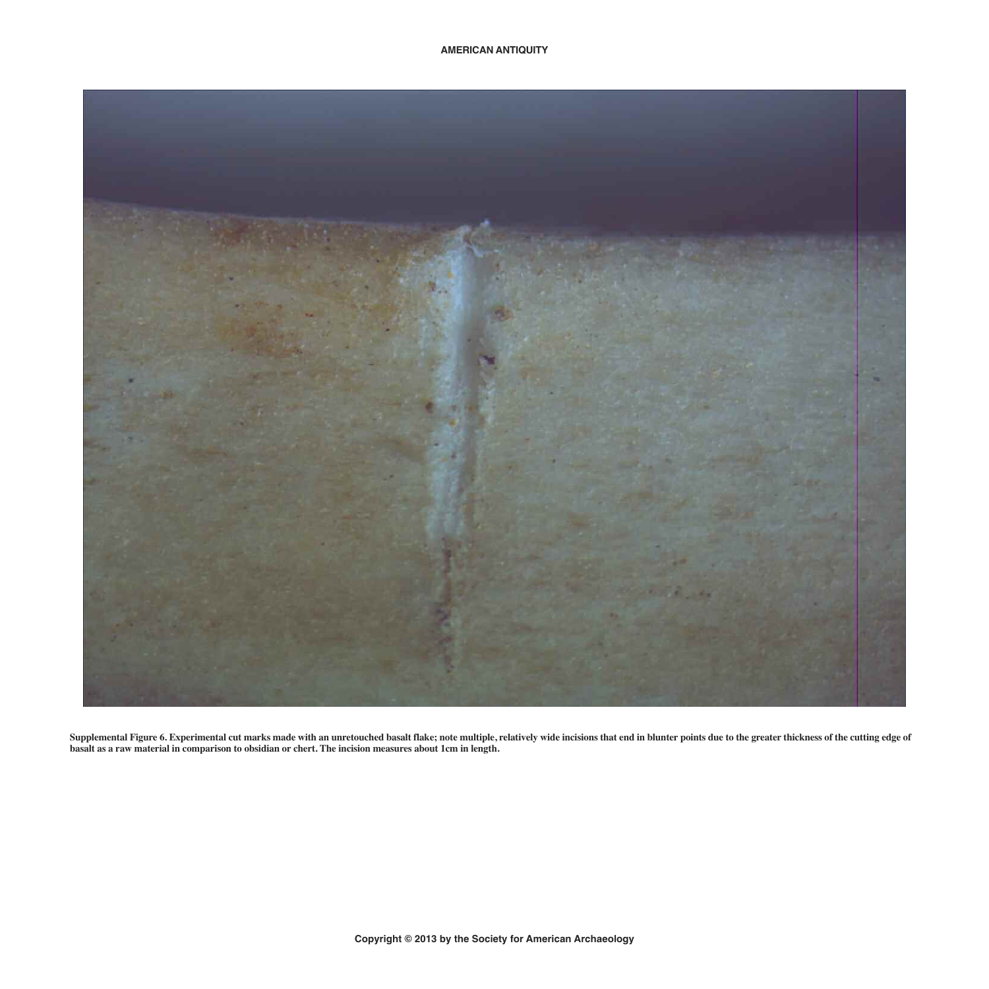

Supplemental Figure 6. Experimental cut marks made with an unretouched basalt flake; note multiple, relatively wide incisions that end in blunter points due to the greater thickness of the cutting edge of basalt as a raw material in comparison to obsidian or chert. The incision measures about 1cm in length.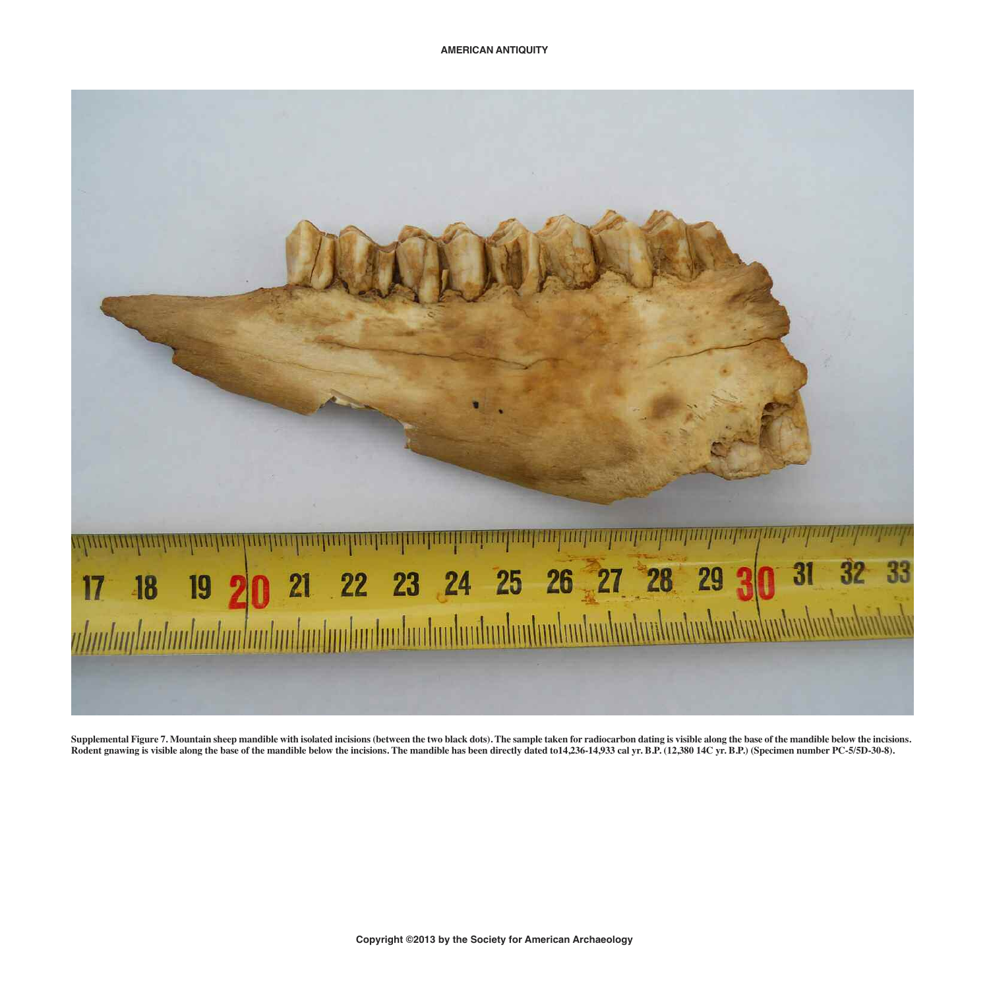

Supplemental Figure 7. Mountain sheep mandible with isolated incisions (between the two black dots). The sample taken for radiocarbon dating is visible along the base of the mandible below the incisions. Rodent gnawing is visible along the base of the mandible below the incisions. The mandible has been directly dated to 14,236-14,933 cal yr. B.P. (12,380 14C yr. B.P.) (Specimen number PC-5/5D-30-8).